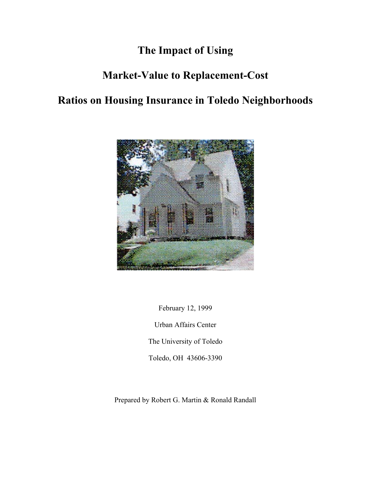# **The Impact of Using**

## **Market-Value to Replacement-Cost**

# **Ratios on Housing Insurance in Toledo Neighborhoods**



February 12, 1999 Urban Affairs Center The University of Toledo Toledo, OH 43606-3390

Prepared by Robert G. Martin & Ronald Randall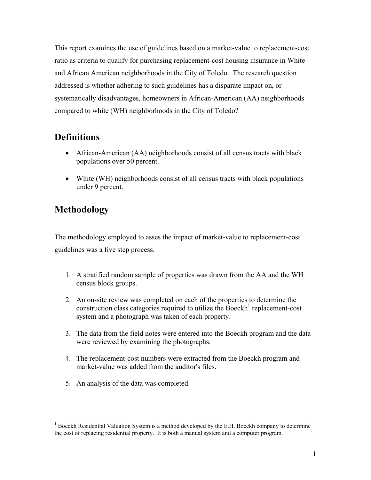This report examines the use of guidelines based on a market-value to replacement-cost ratio as criteria to qualify for purchasing replacement-cost housing insurance in White and African American neighborhoods in the City of Toledo. The research question addressed is whether adhering to such guidelines has a disparate impact on, or systematically disadvantages, homeowners in African-American (AA) neighborhoods compared to white (WH) neighborhoods in the City of Toledo?

### **Definitions**

- African-American (AA) neighborhoods consist of all census tracts with black populations over 50 percent.
- White (WH) neighborhoods consist of all census tracts with black populations under 9 percent.

## **Methodology**

The methodology employed to asses the impact of market-value to replacement-cost guidelines was a five step process.

- 1. A stratified random sample of properties was drawn from the AA and the WH census block groups.
- 2. An on-site review was completed on each of the properties to determine the construction class categories required to utilize the Boeckh<sup>1</sup> replacement-cost system and a photograph was taken of each property.
- 3. The data from the field notes were entered into the Boeckh program and the data were reviewed by examining the photographs.
- 4. The replacement-cost numbers were extracted from the Boeckh program and market-value was added from the auditor's files.
- 5. An analysis of the data was completed.

<sup>1</sup> <sup>1</sup> Boeckh Residential Valuation System is a method developed by the E.H. Boeckh company to determine the cost of replacing residential property. It is both a manual system and a computer program.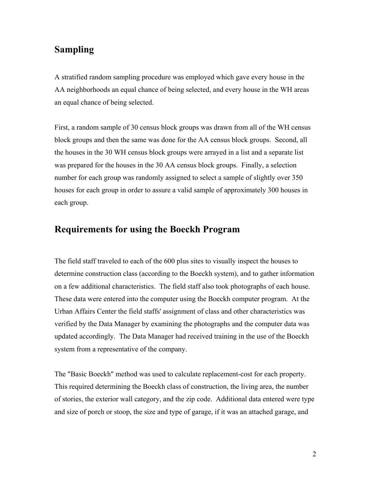#### **Sampling**

A stratified random sampling procedure was employed which gave every house in the AA neighborhoods an equal chance of being selected, and every house in the WH areas an equal chance of being selected.

First, a random sample of 30 census block groups was drawn from all of the WH census block groups and then the same was done for the AA census block groups. Second, all the houses in the 30 WH census block groups were arrayed in a list and a separate list was prepared for the houses in the 30 AA census block groups. Finally, a selection number for each group was randomly assigned to select a sample of slightly over 350 houses for each group in order to assure a valid sample of approximately 300 houses in each group.

#### **Requirements for using the Boeckh Program**

The field staff traveled to each of the 600 plus sites to visually inspect the houses to determine construction class (according to the Boeckh system), and to gather information on a few additional characteristics. The field staff also took photographs of each house. These data were entered into the computer using the Boeckh computer program. At the Urban Affairs Center the field staffs' assignment of class and other characteristics was verified by the Data Manager by examining the photographs and the computer data was updated accordingly. The Data Manager had received training in the use of the Boeckh system from a representative of the company.

The "Basic Boeckh" method was used to calculate replacement-cost for each property. This required determining the Boeckh class of construction, the living area, the number of stories, the exterior wall category, and the zip code. Additional data entered were type and size of porch or stoop, the size and type of garage, if it was an attached garage, and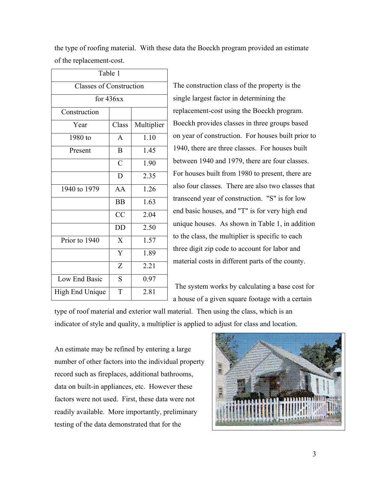|                                | Table 1          |            |
|--------------------------------|------------------|------------|
| <b>Classes of Construction</b> |                  |            |
| for $436xx$                    |                  |            |
| Construction                   |                  |            |
| Year                           | Class            | Multiplier |
| 1980 to                        | $\mathbf{A}$     | 1.10       |
| Present                        | B                | 1.45       |
|                                | $\mathcal{C}$    | 1.90       |
|                                | D                | 2.35       |
| 1940 to 1979                   | AA               | 1.26       |
|                                | <b>BB</b>        | 1.63       |
|                                | CC               | 2.04       |
|                                | <b>DD</b>        | 2.50       |
| Prior to 1940                  | X                | 1.57       |
|                                | Y                | 1.89       |
|                                | $\boldsymbol{Z}$ | 2.21       |
| Low End Basic                  | S                | 0.97       |
| High End Unique                | T                | 2.81       |
|                                |                  |            |

the type of roofing material. With these data the Boeckh program provided an estimate of the replacement-cost.

> Experience construction class of the property is the gle largest factor in determining the lacement-cost using the Boeckh program. eckh provides classes in three groups based year of construction. For houses built prior to 1940, there are three classes. For houses built ween 1940 and 1979, there are four classes. houses built from 1980 to present, there are o four classes. There are also two classes that nscend year of construction. "S" is for low basic houses, and "T" is for very high end que houses. As shown in Table 1, in addition the class, the multiplier is specific to each there digit zip code to account for labor and terial costs in different parts of the county.

 The system works by calculating a base cost for a house of a given square footage with a certain

type of roof material and exterior wall material. Then using the class, which is an indicator of style and quality, a multiplier is applied to adjust for class and location.

An estimate may be refined by entering a large number of other factors into the individual property record such as fireplaces, additional bathrooms, data on built-in appliances, etc. However these factors were not used. First, these data were not readily available. More importantly, preliminary testing of the data demonstrated that for the

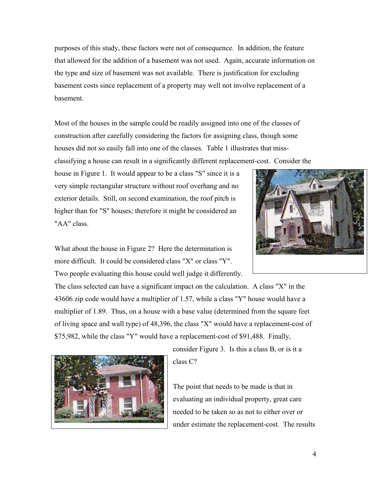purposes of this study, these factors were not of consequence. In addition, the feature that allowed for the addition of a basement was not used. Again, accurate information on the type and size of basement was not available. There is justification for excluding basement costs since replacement of a property may well not involve replacement of a basement.

Most of the houses in the sample could be readily assigned into one of the classes of construction after carefully considering the factors for assigning class, though some houses did not so easily fall into one of the classes. Table 1 illustrates that miss-

classifying a house can result in a significantly different replacement-cost. Consider the

house in Figure 1. It would appear to be a class "S" since it is a very simple rectangular structure without roof overhang and no exterior details. Still, on second examination, the roof pitch is higher than for "S" houses; therefore it might be considered an "AA" class.



What about the house in Figure 2? Here the determination is more difficult. It could be considered class "X" or class "Y". Two people evaluating this house could well judge it differently.

The class selected can have a significant impact on the calculation. A class "X" in the 43606 zip code would have a multiplier of 1.57, while a class "Y" house would have a multiplier of 1.89. Thus, on a house with a base value (determined from the square feet of living space and wall type) of 48,396, the class "X" would have a replacement-cost of \$75,982, while the class "Y" would have a replacement-cost of \$91,488. Finally,



consider Figure 3. Is this a class B, or is it a class C?

The point that needs to be made is that in evaluating an individual property, great care needed to be taken so as not to either over or under estimate the replacement-cost. The results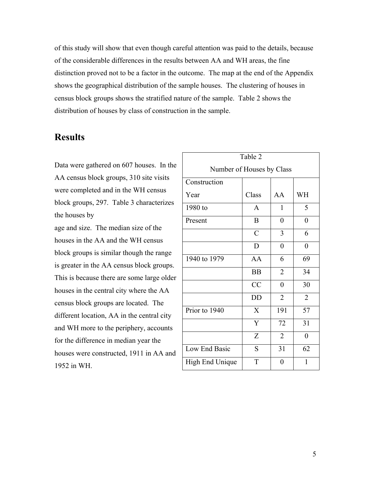of this study will show that even though careful attention was paid to the details, because of the considerable differences in the results between AA and WH areas, the fine distinction proved not to be a factor in the outcome. The map at the end of the Appendix shows the geographical distribution of the sample houses. The clustering of houses in census block groups shows the stratified nature of the sample. Table 2 shows the distribution of houses by class of construction in the sample.

#### **Results**

Data were gathered on 607 houses. In the AA census block groups, 310 site visits were completed and in the WH census block groups, 297. Table 3 characterizes the houses by

age and size. The median size of the houses in the AA and the WH census block groups is similar though the range is greater in the AA census block groups. This is because there are some large older houses in the central city where the AA census block groups are located. The different location, AA in the central city and WH more to the periphery, accounts for the difference in median year the houses were constructed, 1911 in AA and 1952 in WH.

| Table 2                   |                  |                |                  |  |
|---------------------------|------------------|----------------|------------------|--|
| Number of Houses by Class |                  |                |                  |  |
| Construction              |                  |                |                  |  |
| Year                      | Class            | AA             | WH               |  |
| 1980 to                   | $\mathbf{A}$     | $\mathbf{1}$   | 5                |  |
| Present                   | $\boldsymbol{B}$ | $\overline{0}$ | $\boldsymbol{0}$ |  |
|                           | $\overline{C}$   | 3              | 6                |  |
|                           | D                | $\overline{0}$ | $\boldsymbol{0}$ |  |
| 1940 to 1979              | AA               | 6              | 69               |  |
|                           | <b>BB</b>        | $\overline{2}$ | 34               |  |
|                           | CC               | $\overline{0}$ | 30               |  |
|                           | <b>DD</b>        | $\overline{2}$ | $\overline{2}$   |  |
| Prior to 1940             | X                | 191            | 57               |  |
|                           | Y                | 72             | 31               |  |
|                           | $\boldsymbol{Z}$ | $\overline{2}$ | $\overline{0}$   |  |
| Low End Basic             | S                | 31             | 62               |  |
| High End Unique           | T                | $\overline{0}$ | 1                |  |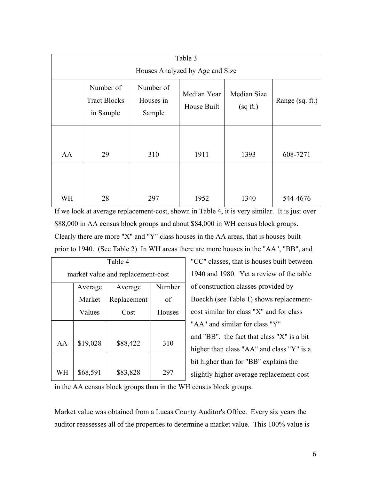| Table 3                         |                                               |                                  |                            |                         |                 |
|---------------------------------|-----------------------------------------------|----------------------------------|----------------------------|-------------------------|-----------------|
| Houses Analyzed by Age and Size |                                               |                                  |                            |                         |                 |
|                                 | Number of<br><b>Tract Blocks</b><br>in Sample | Number of<br>Houses in<br>Sample | Median Year<br>House Built | Median Size<br>(sq ft.) | Range (sq. ft.) |
| AA                              | 29                                            | 310                              | 1911                       | 1393                    | 608-7271        |
| WH                              | 28                                            | 297                              | 1952                       | 1340                    | 544-4676        |

If we look at average replacement-cost, shown in Table 4, it is very similar. It is just over \$88,000 in AA census block groups and about \$84,000 in WH census block groups. Clearly there are more "X" and "Y" class houses in the AA areas, that is houses built prior to 1940. (See Table 2) In WH areas there are more houses in the "AA", "BB", and

| Table 4                           |                |             |        |  |  |
|-----------------------------------|----------------|-------------|--------|--|--|
| market value and replacement-cost |                |             |        |  |  |
|                                   | Average        | Average     | Number |  |  |
|                                   | Market         | Replacement | οf     |  |  |
|                                   | Values<br>Cost |             | Houses |  |  |
|                                   |                |             |        |  |  |
| AA                                | \$19,028       | \$88,422    | 310    |  |  |
| WH                                | \$68,591       | \$83,828    | 297    |  |  |

"CC" classes, that is houses built between 1940 and 1980. Yet a review of the table of construction classes provided by Boeckh (see Table 1) shows replacementcost similar for class "X" and for class "AA" and similar for class "Y" and "BB". the fact that class "X" is a bit higher than class "AA" and class "Y" is a bit higher than for "BB" explains the slightly higher average replacement-cost

in the AA census block groups than in the WH census block groups.

Market value was obtained from a Lucas County Auditor's Office. Every six years the auditor reassesses all of the properties to determine a market value. This 100% value is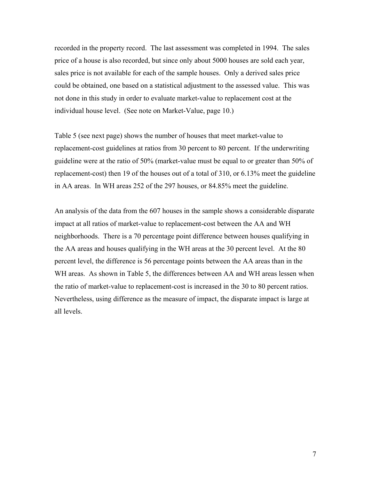recorded in the property record. The last assessment was completed in 1994. The sales price of a house is also recorded, but since only about 5000 houses are sold each year, sales price is not available for each of the sample houses. Only a derived sales price could be obtained, one based on a statistical adjustment to the assessed value. This was not done in this study in order to evaluate market-value to replacement cost at the individual house level. (See note on Market-Value, page 10.)

Table 5 (see next page) shows the number of houses that meet market-value to replacement-cost guidelines at ratios from 30 percent to 80 percent. If the underwriting guideline were at the ratio of 50% (market-value must be equal to or greater than 50% of replacement-cost) then 19 of the houses out of a total of 310, or 6.13% meet the guideline in AA areas. In WH areas 252 of the 297 houses, or 84.85% meet the guideline.

An analysis of the data from the 607 houses in the sample shows a considerable disparate impact at all ratios of market-value to replacement-cost between the AA and WH neighborhoods. There is a 70 percentage point difference between houses qualifying in the AA areas and houses qualifying in the WH areas at the 30 percent level. At the 80 percent level, the difference is 56 percentage points between the AA areas than in the WH areas. As shown in Table 5, the differences between AA and WH areas lessen when the ratio of market-value to replacement-cost is increased in the 30 to 80 percent ratios. Nevertheless, using difference as the measure of impact, the disparate impact is large at all levels.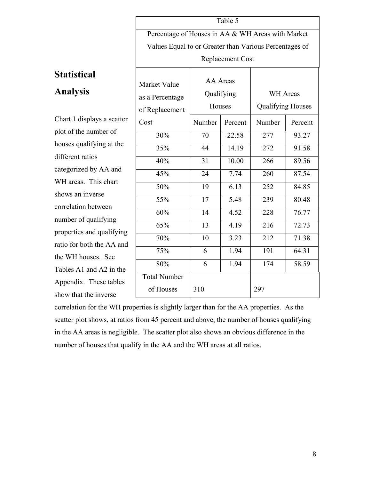|                                                        |                                         | Table 5 |                                             |         |  |
|--------------------------------------------------------|-----------------------------------------|---------|---------------------------------------------|---------|--|
| Percentage of Houses in AA & WH Areas with Market      |                                         |         |                                             |         |  |
| Values Equal to or Greater than Various Percentages of |                                         |         |                                             |         |  |
| Replacement Cost                                       |                                         |         |                                             |         |  |
| Market Value<br>as a Percentage                        | AA Areas<br>Qualifying<br><b>Houses</b> |         | <b>WH</b> Areas<br><b>Qualifying Houses</b> |         |  |
| of Replacement                                         |                                         |         |                                             |         |  |
| Cost                                                   | Number                                  | Percent | Number                                      | Percent |  |
| 30%                                                    | 70                                      | 22.58   | 277                                         | 93.27   |  |
| 35%                                                    | 44                                      | 14.19   | 272                                         | 91.58   |  |
| 40%                                                    | 31                                      | 10.00   | 266                                         | 89.56   |  |
| 45%                                                    | 24                                      | 7.74    | 260                                         | 87.54   |  |
| 50%                                                    | 19                                      | 6.13    | 252                                         | 84.85   |  |
| 55%                                                    | 17                                      | 5.48    | 239                                         | 80.48   |  |
| 60%                                                    | 14                                      | 4.52    | 228                                         | 76.77   |  |

65% 13 4.19 216 72.73

70% 10 3.23 212 71.38

75% 6 1.94 191 64.31

80% 6 1.94 174 58.59

# **Statistical**

## **Analysis**

Chart 1 displays a scatter plot of the number of houses qualifying at the different ratios categorized by AA and WH areas. This chart shows an inverse correlation between number of qualifying properties and qualifying ratio for both the AA and the WH houses. See Tables A1 and A2 in the Appendix. These tables show that the inverse

correlation for the WH properties is slightly larger than for the AA properties. As the scatter plot shows, at ratios from 45 percent and above, the number of houses qualifying in the AA areas is negligible. The scatter plot also shows an obvious difference in the number of houses that qualify in the AA and the WH areas at all ratios.

of Houses | 310 | 297

Total Number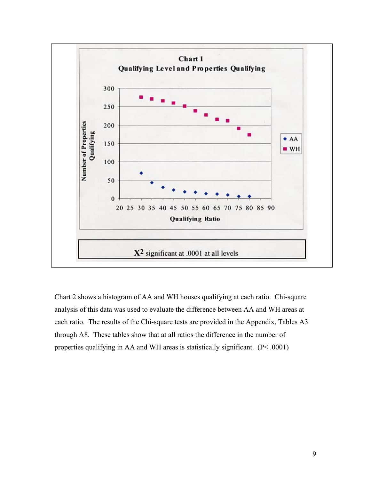

Chart 2 shows a histogram of AA and WH houses qualifying at each ratio. Chi-square analysis of this data was used to evaluate the difference between AA and WH areas at each ratio. The results of the Chi-square tests are provided in the Appendix, Tables A3 through A8. These tables show that at all ratios the difference in the number of properties qualifying in AA and WH areas is statistically significant.  $(P< .0001)$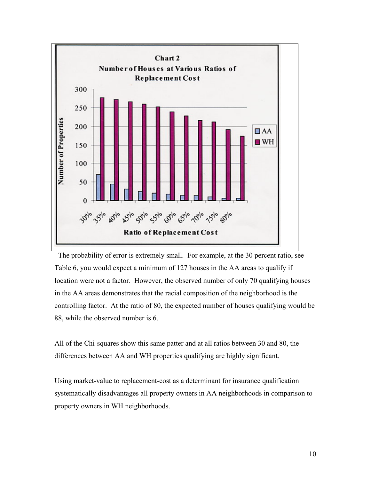

 The probability of error is extremely small. For example, at the 30 percent ratio, see Table 6, you would expect a minimum of 127 houses in the AA areas to qualify if location were not a factor. However, the observed number of only 70 qualifying houses in the AA areas demonstrates that the racial composition of the neighborhood is the controlling factor. At the ratio of 80, the expected number of houses qualifying would be 88, while the observed number is 6.

All of the Chi-squares show this same patter and at all ratios between 30 and 80, the differences between AA and WH properties qualifying are highly significant.

Using market-value to replacement-cost as a determinant for insurance qualification systematically disadvantages all property owners in AA neighborhoods in comparison to property owners in WH neighborhoods.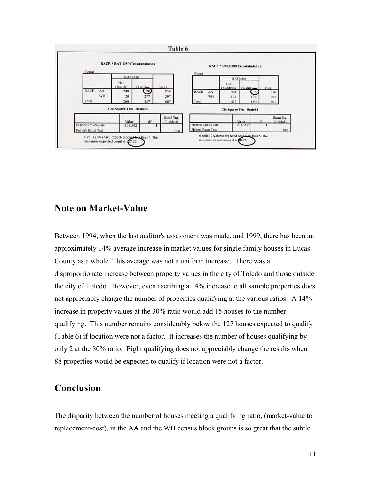

#### **Note on Market-Value**

Between 1994, when the last auditor's assessment was made, and 1999, there has been an approximately 14% average increase in market values for single family houses in Lucas County as a whole. This average was not a uniform increase. There was a disproportionate increase between property values in the city of Toledo and those outside the city of Toledo. However, even ascribing a 14% increase to all sample properties does not appreciably change the number of properties qualifying at the various ratios. A 14% increase in property values at the 30% ratio would add 15 houses to the number qualifying. This number remains considerably below the 127 houses expected to qualify (Table 6) if location were not a factor. It increases the number of houses qualifying by only 2 at the 80% ratio. Eight qualifying does not appreciably change the results when 88 properties would be expected to qualify if location were not a factor.

#### **Conclusion**

The disparity between the number of houses meeting a qualifying ratio, (market-value to replacement-cost), in the AA and the WH census block groups is so great that the subtle